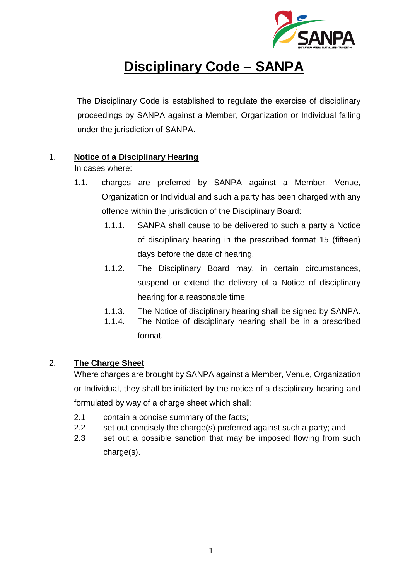

# **Disciplinary Code – SANPA**

The Disciplinary Code is established to regulate the exercise of disciplinary proceedings by SANPA against a Member, Organization or Individual falling under the jurisdiction of SANPA.

# 1. **Notice of a Disciplinary Hearing**

In cases where:

- 1.1. charges are preferred by SANPA against a Member, Venue, Organization or Individual and such a party has been charged with any offence within the jurisdiction of the Disciplinary Board:
	- 1.1.1. SANPA shall cause to be delivered to such a party a Notice of disciplinary hearing in the prescribed format 15 (fifteen) days before the date of hearing.
	- 1.1.2. The Disciplinary Board may, in certain circumstances, suspend or extend the delivery of a Notice of disciplinary hearing for a reasonable time.
	- 1.1.3. The Notice of disciplinary hearing shall be signed by SANPA.
	- 1.1.4. The Notice of disciplinary hearing shall be in a prescribed format.

# 2. **The Charge Sheet**

Where charges are brought by SANPA against a Member, Venue, Organization or Individual, they shall be initiated by the notice of a disciplinary hearing and formulated by way of a charge sheet which shall:

- 2.1 contain a concise summary of the facts;
- 2.2 set out concisely the charge(s) preferred against such a party; and
- 2.3 set out a possible sanction that may be imposed flowing from such charge(s).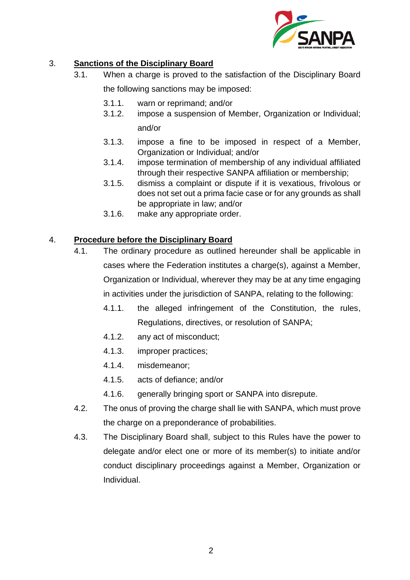

# 3. **Sanctions of the Disciplinary Board**

- 3.1. When a charge is proved to the satisfaction of the Disciplinary Board the following sanctions may be imposed:
	- 3.1.1. warn or reprimand; and/or
	- 3.1.2. impose a suspension of Member, Organization or Individual; and/or
	- 3.1.3. impose a fine to be imposed in respect of a Member, Organization or Individual; and/or
	- 3.1.4. impose termination of membership of any individual affiliated through their respective SANPA affiliation or membership;
	- 3.1.5. dismiss a complaint or dispute if it is vexatious, frivolous or does not set out a prima facie case or for any grounds as shall be appropriate in law; and/or
	- 3.1.6. make any appropriate order.

# 4. **Procedure before the Disciplinary Board**

- 4.1. The ordinary procedure as outlined hereunder shall be applicable in cases where the Federation institutes a charge(s), against a Member, Organization or Individual, wherever they may be at any time engaging in activities under the jurisdiction of SANPA, relating to the following:
	- 4.1.1. the alleged infringement of the Constitution, the rules, Regulations, directives, or resolution of SANPA;
	- 4.1.2. any act of misconduct;
	- 4.1.3. improper practices;
	- 4.1.4. misdemeanor;
	- 4.1.5. acts of defiance; and/or
	- 4.1.6. generally bringing sport or SANPA into disrepute.
- 4.2. The onus of proving the charge shall lie with SANPA, which must prove the charge on a preponderance of probabilities.
- 4.3. The Disciplinary Board shall, subject to this Rules have the power to delegate and/or elect one or more of its member(s) to initiate and/or conduct disciplinary proceedings against a Member, Organization or Individual.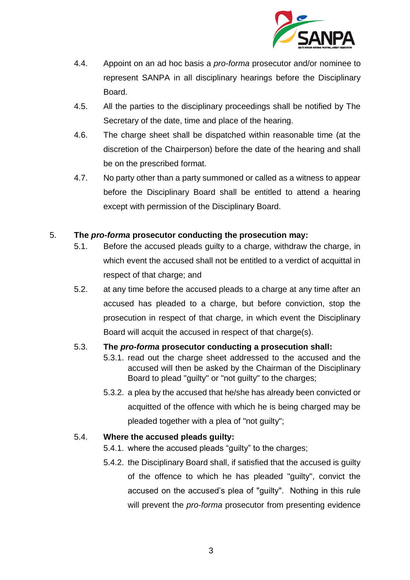

- 4.4. Appoint on an ad hoc basis a *pro-forma* prosecutor and/or nominee to represent SANPA in all disciplinary hearings before the Disciplinary Board.
- 4.5. All the parties to the disciplinary proceedings shall be notified by The Secretary of the date, time and place of the hearing.
- 4.6. The charge sheet shall be dispatched within reasonable time (at the discretion of the Chairperson) before the date of the hearing and shall be on the prescribed format.
- 4.7. No party other than a party summoned or called as a witness to appear before the Disciplinary Board shall be entitled to attend a hearing except with permission of the Disciplinary Board.

#### 5. **The** *pro-forma* **prosecutor conducting the prosecution may:**

- 5.1. Before the accused pleads guilty to a charge, withdraw the charge, in which event the accused shall not be entitled to a verdict of acquittal in respect of that charge; and
- 5.2. at any time before the accused pleads to a charge at any time after an accused has pleaded to a charge, but before conviction, stop the prosecution in respect of that charge, in which event the Disciplinary Board will acquit the accused in respect of that charge(s).

# 5.3. **The** *pro-forma* **prosecutor conducting a prosecution shall:**

- 5.3.1. read out the charge sheet addressed to the accused and the accused will then be asked by the Chairman of the Disciplinary Board to plead "guilty" or "not guilty" to the charges;
- 5.3.2. a plea by the accused that he/she has already been convicted or acquitted of the offence with which he is being charged may be pleaded together with a plea of "not guilty";

#### 5.4. **Where the accused pleads guilty:**

- 5.4.1. where the accused pleads "guilty" to the charges;
- 5.4.2. the Disciplinary Board shall, if satisfied that the accused is guilty of the offence to which he has pleaded "guilty", convict the accused on the accused's plea of "guilty". Nothing in this rule will prevent the *pro-forma* prosecutor from presenting evidence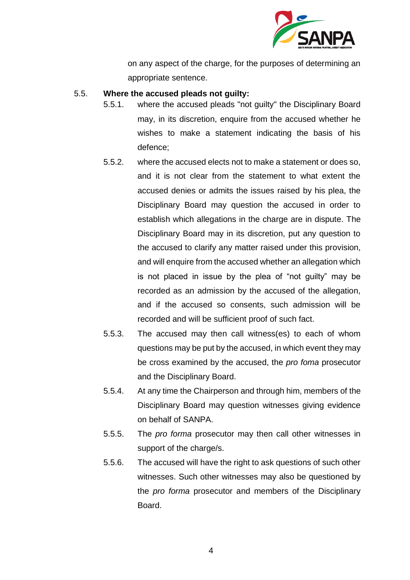

on any aspect of the charge, for the purposes of determining an appropriate sentence.

#### 5.5. **Where the accused pleads not guilty:**

- 5.5.1. where the accused pleads "not guilty" the Disciplinary Board may, in its discretion, enquire from the accused whether he wishes to make a statement indicating the basis of his defence;
- 5.5.2. where the accused elects not to make a statement or does so, and it is not clear from the statement to what extent the accused denies or admits the issues raised by his plea, the Disciplinary Board may question the accused in order to establish which allegations in the charge are in dispute. The Disciplinary Board may in its discretion, put any question to the accused to clarify any matter raised under this provision, and will enquire from the accused whether an allegation which is not placed in issue by the plea of "not guilty" may be recorded as an admission by the accused of the allegation, and if the accused so consents, such admission will be recorded and will be sufficient proof of such fact.
- 5.5.3. The accused may then call witness(es) to each of whom questions may be put by the accused, in which event they may be cross examined by the accused, the *pro foma* prosecutor and the Disciplinary Board.
- 5.5.4. At any time the Chairperson and through him, members of the Disciplinary Board may question witnesses giving evidence on behalf of SANPA.
- 5.5.5. The *pro forma* prosecutor may then call other witnesses in support of the charge/s.
- 5.5.6. The accused will have the right to ask questions of such other witnesses. Such other witnesses may also be questioned by the *pro forma* prosecutor and members of the Disciplinary **Board**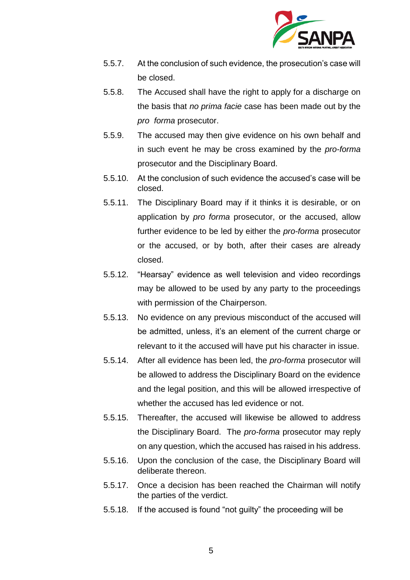

- 5.5.7. At the conclusion of such evidence, the prosecution's case will be closed.
- 5.5.8. The Accused shall have the right to apply for a discharge on the basis that *no prima facie* case has been made out by the *pro forma* prosecutor.
- 5.5.9. The accused may then give evidence on his own behalf and in such event he may be cross examined by the *pro-forma* prosecutor and the Disciplinary Board.
- 5.5.10. At the conclusion of such evidence the accused's case will be closed.
- 5.5.11. The Disciplinary Board may if it thinks it is desirable, or on application by *pro forma* prosecutor, or the accused, allow further evidence to be led by either the *pro-forma* prosecutor or the accused, or by both, after their cases are already closed.
- 5.5.12. "Hearsay" evidence as well television and video recordings may be allowed to be used by any party to the proceedings with permission of the Chairperson.
- 5.5.13. No evidence on any previous misconduct of the accused will be admitted, unless, it's an element of the current charge or relevant to it the accused will have put his character in issue.
- 5.5.14. After all evidence has been led, the *pro-forma* prosecutor will be allowed to address the Disciplinary Board on the evidence and the legal position, and this will be allowed irrespective of whether the accused has led evidence or not.
- 5.5.15. Thereafter, the accused will likewise be allowed to address the Disciplinary Board. The *pro-forma* prosecutor may reply on any question, which the accused has raised in his address.
- 5.5.16. Upon the conclusion of the case, the Disciplinary Board will deliberate thereon.
- 5.5.17. Once a decision has been reached the Chairman will notify the parties of the verdict.
- 5.5.18. If the accused is found "not guilty" the proceeding will be